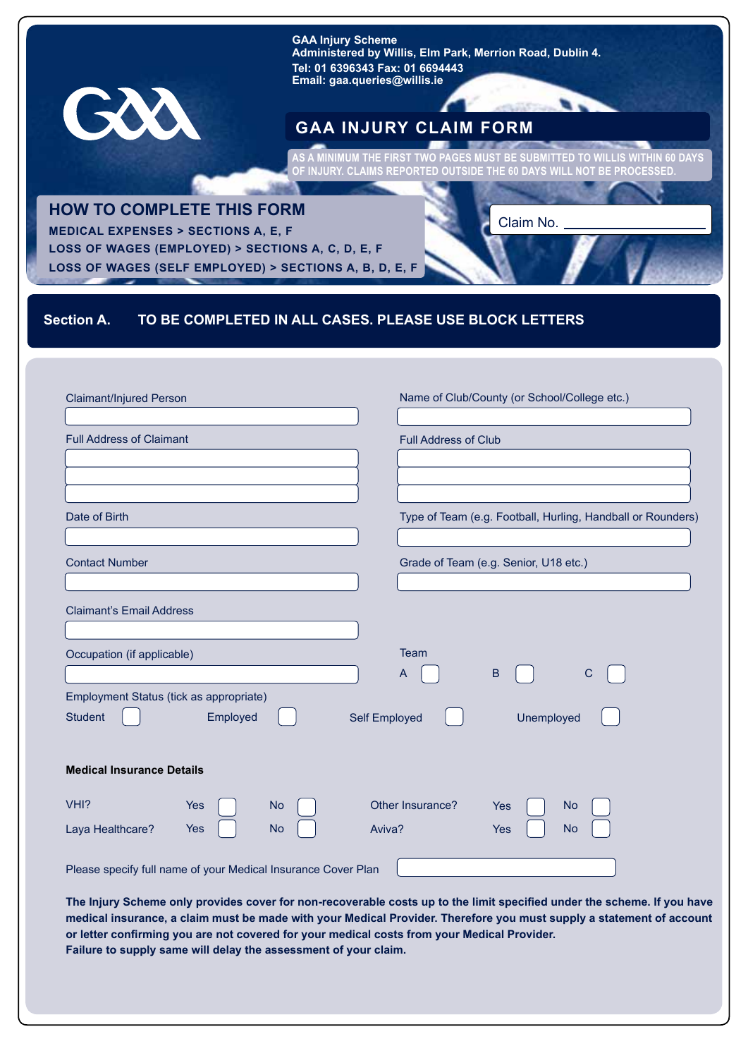**GAA Injury Scheme Administered by Willis, Elm Park, Merrion Road, Dublin 4. Tel: 01 6396343 Fax: 01 6694443 Email: gaa.queries@willis.ie**

# **GAA INJURY CLAIM FORM**

**AS A MINIMUM THE FIRST TWO PAGES MUST BE SUBMITTED TO WILLIS WITHIN 60 DAYS OF INJURY. CLAIMS REPORTED OUTSIDE THE 60 DAYS WILL NOT BE PROCESSED.**

## **HOW TO COMPLETE THIS FORM**

GXX

**MEDICAL EXPENSES > SECTIONS A, E, F LOSS OF WAGES (EMPLOYED) > SECTIONS A, C, D, E, F LOSS OF WAGES (SELF EMPLOYED) > SECTIONS A, B, D, E, F**

#### Claim No.

# **Section A. TO BE COMPLETED IN ALL CASES. PLEASE USE BLOCK LETTERS**

| Claimant/Injured Person                                                                | Name of Club/County (or School/College etc.)                |
|----------------------------------------------------------------------------------------|-------------------------------------------------------------|
| <b>Full Address of Claimant</b>                                                        | <b>Full Address of Club</b>                                 |
|                                                                                        |                                                             |
| Date of Birth                                                                          | Type of Team (e.g. Football, Hurling, Handball or Rounders) |
| <b>Contact Number</b>                                                                  | Grade of Team (e.g. Senior, U18 etc.)                       |
| <b>Claimant's Email Address</b>                                                        |                                                             |
| Occupation (if applicable)                                                             | Team<br>$\sf B$<br>$\mathsf{A}$<br>$\mathsf C$              |
| Employment Status (tick as appropriate)<br><b>Student</b><br>Employed<br>Self Employed | Unemployed                                                  |
| <b>Medical Insurance Details</b>                                                       |                                                             |
| VHI?<br>Yes<br><b>No</b><br><b>No</b><br>Aviva?<br>Laya Healthcare?<br>Yes             | Other Insurance?<br><b>No</b><br>Yes<br><b>No</b><br>Yes    |
| Please specify full name of your Medical Insurance Cover Plan                          |                                                             |

**The Injury Scheme only provides cover for non-recoverable costs up to the limit specified under the scheme. If you have medical insurance, a claim must be made with your Medical Provider. Therefore you must supply a statement of account or letter confirming you are not covered for your medical costs from your Medical Provider. Failure to supply same will delay the assessment of your claim.**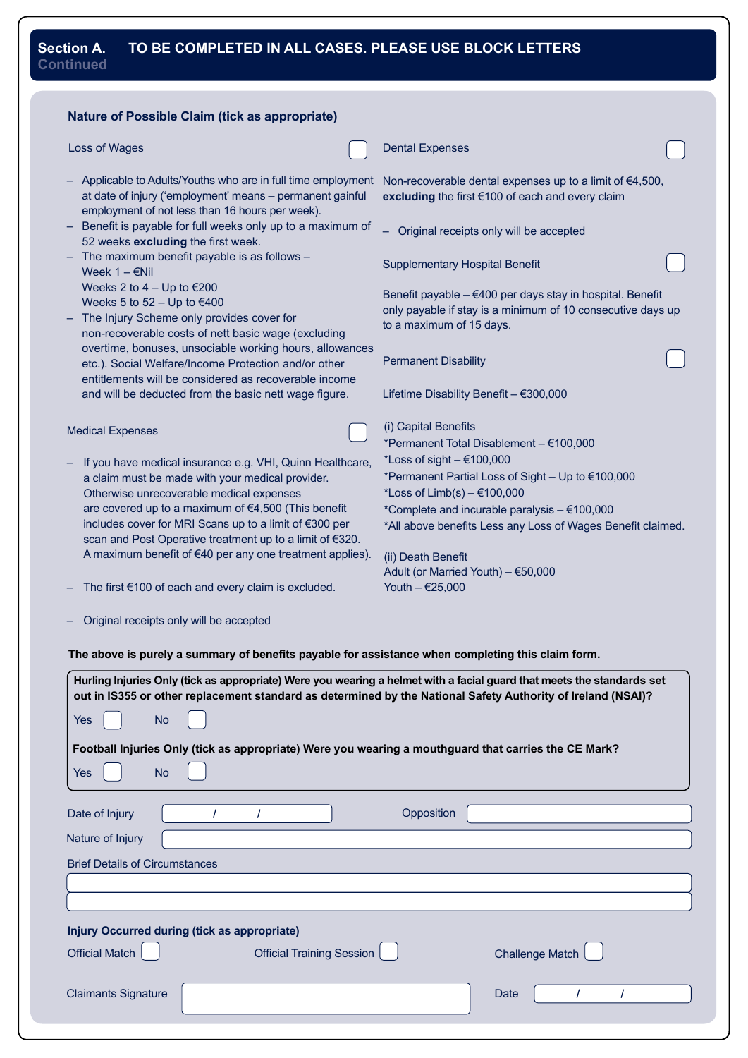### **Section A. TO BE COMPLETED IN ALL CASES. PLEASE USE BLOCK LETTERS Continued**

| Loss of Wages<br><b>Dental Expenses</b><br>Applicable to Adults/Youths who are in full time employment<br>Non-recoverable dental expenses up to a limit of €4,500,<br>at date of injury ('employment' means - permanent gainful<br>excluding the first €100 of each and every claim<br>employment of not less than 16 hours per week).<br>Benefit is payable for full weeks only up to a maximum of<br>Original receipts only will be accepted<br>52 weeks excluding the first week.<br>The maximum benefit payable is as follows -<br>Supplementary Hospital Benefit<br>Week $1 - \epsilon$ Nil<br>Weeks 2 to $4 - Up$ to $€200$<br>Benefit payable - €400 per days stay in hospital. Benefit<br>Weeks 5 to $52 - Up$ to $€400$<br>only payable if stay is a minimum of 10 consecutive days up<br>The Injury Scheme only provides cover for<br>to a maximum of 15 days.<br>non-recoverable costs of nett basic wage (excluding<br>overtime, bonuses, unsociable working hours, allowances<br><b>Permanent Disability</b><br>etc.). Social Welfare/Income Protection and/or other<br>entitlements will be considered as recoverable income<br>Lifetime Disability Benefit - €300,000<br>and will be deducted from the basic nett wage figure.<br>(i) Capital Benefits<br>*Permanent Total Disablement - €100,000<br>*Loss of sight $-$ €100,000<br>If you have medical insurance e.g. VHI, Quinn Healthcare,<br>*Permanent Partial Loss of Sight - Up to €100,000<br>a claim must be made with your medical provider.<br>Otherwise unrecoverable medical expenses<br>*Loss of $Limb(s) - \text{\textsterling}100,000$<br>are covered up to a maximum of €4,500 (This benefit<br>*Complete and incurable paralysis - €100,000<br>includes cover for MRI Scans up to a limit of €300 per<br>*All above benefits Less any Loss of Wages Benefit claimed.<br>scan and Post Operative treatment up to a limit of €320.<br>A maximum benefit of €40 per any one treatment applies).<br>(ii) Death Benefit<br>Adult (or Married Youth) - €50,000<br>Youth - €25,000<br>The first €100 of each and every claim is excluded.<br>Original receipts only will be accepted<br>The above is purely a summary of benefits payable for assistance when completing this claim form.<br>Hurling Injuries Only (tick as appropriate) Were you wearing a helmet with a facial guard that meets the standards set<br>out in IS355 or other replacement standard as determined by the National Safety Authority of Ireland (NSAI)?<br><b>No</b><br>Yes<br>Football Injuries Only (tick as appropriate) Were you wearing a mouthguard that carries the CE Mark?<br><b>No</b><br>Yes<br>Opposition<br>Date of Injury<br><b>Official Training Session</b> | .                                                     |                        |
|-----------------------------------------------------------------------------------------------------------------------------------------------------------------------------------------------------------------------------------------------------------------------------------------------------------------------------------------------------------------------------------------------------------------------------------------------------------------------------------------------------------------------------------------------------------------------------------------------------------------------------------------------------------------------------------------------------------------------------------------------------------------------------------------------------------------------------------------------------------------------------------------------------------------------------------------------------------------------------------------------------------------------------------------------------------------------------------------------------------------------------------------------------------------------------------------------------------------------------------------------------------------------------------------------------------------------------------------------------------------------------------------------------------------------------------------------------------------------------------------------------------------------------------------------------------------------------------------------------------------------------------------------------------------------------------------------------------------------------------------------------------------------------------------------------------------------------------------------------------------------------------------------------------------------------------------------------------------------------------------------------------------------------------------------------------------------------------------------------------------------------------------------------------------------------------------------------------------------------------------------------------------------------------------------------------------------------------------------------------------------------------------------------------------------------------------------------------------------------------------------------------------------------------------------------------------------------------------------------------------------------------------------------------------------------------------------------------------------------------|-------------------------------------------------------|------------------------|
|                                                                                                                                                                                                                                                                                                                                                                                                                                                                                                                                                                                                                                                                                                                                                                                                                                                                                                                                                                                                                                                                                                                                                                                                                                                                                                                                                                                                                                                                                                                                                                                                                                                                                                                                                                                                                                                                                                                                                                                                                                                                                                                                                                                                                                                                                                                                                                                                                                                                                                                                                                                                                                                                                                                                   | <b>Nature of Possible Claim (tick as appropriate)</b> |                        |
|                                                                                                                                                                                                                                                                                                                                                                                                                                                                                                                                                                                                                                                                                                                                                                                                                                                                                                                                                                                                                                                                                                                                                                                                                                                                                                                                                                                                                                                                                                                                                                                                                                                                                                                                                                                                                                                                                                                                                                                                                                                                                                                                                                                                                                                                                                                                                                                                                                                                                                                                                                                                                                                                                                                                   |                                                       |                        |
|                                                                                                                                                                                                                                                                                                                                                                                                                                                                                                                                                                                                                                                                                                                                                                                                                                                                                                                                                                                                                                                                                                                                                                                                                                                                                                                                                                                                                                                                                                                                                                                                                                                                                                                                                                                                                                                                                                                                                                                                                                                                                                                                                                                                                                                                                                                                                                                                                                                                                                                                                                                                                                                                                                                                   |                                                       |                        |
|                                                                                                                                                                                                                                                                                                                                                                                                                                                                                                                                                                                                                                                                                                                                                                                                                                                                                                                                                                                                                                                                                                                                                                                                                                                                                                                                                                                                                                                                                                                                                                                                                                                                                                                                                                                                                                                                                                                                                                                                                                                                                                                                                                                                                                                                                                                                                                                                                                                                                                                                                                                                                                                                                                                                   |                                                       |                        |
|                                                                                                                                                                                                                                                                                                                                                                                                                                                                                                                                                                                                                                                                                                                                                                                                                                                                                                                                                                                                                                                                                                                                                                                                                                                                                                                                                                                                                                                                                                                                                                                                                                                                                                                                                                                                                                                                                                                                                                                                                                                                                                                                                                                                                                                                                                                                                                                                                                                                                                                                                                                                                                                                                                                                   |                                                       |                        |
|                                                                                                                                                                                                                                                                                                                                                                                                                                                                                                                                                                                                                                                                                                                                                                                                                                                                                                                                                                                                                                                                                                                                                                                                                                                                                                                                                                                                                                                                                                                                                                                                                                                                                                                                                                                                                                                                                                                                                                                                                                                                                                                                                                                                                                                                                                                                                                                                                                                                                                                                                                                                                                                                                                                                   |                                                       |                        |
|                                                                                                                                                                                                                                                                                                                                                                                                                                                                                                                                                                                                                                                                                                                                                                                                                                                                                                                                                                                                                                                                                                                                                                                                                                                                                                                                                                                                                                                                                                                                                                                                                                                                                                                                                                                                                                                                                                                                                                                                                                                                                                                                                                                                                                                                                                                                                                                                                                                                                                                                                                                                                                                                                                                                   |                                                       |                        |
|                                                                                                                                                                                                                                                                                                                                                                                                                                                                                                                                                                                                                                                                                                                                                                                                                                                                                                                                                                                                                                                                                                                                                                                                                                                                                                                                                                                                                                                                                                                                                                                                                                                                                                                                                                                                                                                                                                                                                                                                                                                                                                                                                                                                                                                                                                                                                                                                                                                                                                                                                                                                                                                                                                                                   |                                                       |                        |
|                                                                                                                                                                                                                                                                                                                                                                                                                                                                                                                                                                                                                                                                                                                                                                                                                                                                                                                                                                                                                                                                                                                                                                                                                                                                                                                                                                                                                                                                                                                                                                                                                                                                                                                                                                                                                                                                                                                                                                                                                                                                                                                                                                                                                                                                                                                                                                                                                                                                                                                                                                                                                                                                                                                                   |                                                       |                        |
|                                                                                                                                                                                                                                                                                                                                                                                                                                                                                                                                                                                                                                                                                                                                                                                                                                                                                                                                                                                                                                                                                                                                                                                                                                                                                                                                                                                                                                                                                                                                                                                                                                                                                                                                                                                                                                                                                                                                                                                                                                                                                                                                                                                                                                                                                                                                                                                                                                                                                                                                                                                                                                                                                                                                   |                                                       |                        |
|                                                                                                                                                                                                                                                                                                                                                                                                                                                                                                                                                                                                                                                                                                                                                                                                                                                                                                                                                                                                                                                                                                                                                                                                                                                                                                                                                                                                                                                                                                                                                                                                                                                                                                                                                                                                                                                                                                                                                                                                                                                                                                                                                                                                                                                                                                                                                                                                                                                                                                                                                                                                                                                                                                                                   |                                                       |                        |
|                                                                                                                                                                                                                                                                                                                                                                                                                                                                                                                                                                                                                                                                                                                                                                                                                                                                                                                                                                                                                                                                                                                                                                                                                                                                                                                                                                                                                                                                                                                                                                                                                                                                                                                                                                                                                                                                                                                                                                                                                                                                                                                                                                                                                                                                                                                                                                                                                                                                                                                                                                                                                                                                                                                                   |                                                       |                        |
|                                                                                                                                                                                                                                                                                                                                                                                                                                                                                                                                                                                                                                                                                                                                                                                                                                                                                                                                                                                                                                                                                                                                                                                                                                                                                                                                                                                                                                                                                                                                                                                                                                                                                                                                                                                                                                                                                                                                                                                                                                                                                                                                                                                                                                                                                                                                                                                                                                                                                                                                                                                                                                                                                                                                   |                                                       |                        |
|                                                                                                                                                                                                                                                                                                                                                                                                                                                                                                                                                                                                                                                                                                                                                                                                                                                                                                                                                                                                                                                                                                                                                                                                                                                                                                                                                                                                                                                                                                                                                                                                                                                                                                                                                                                                                                                                                                                                                                                                                                                                                                                                                                                                                                                                                                                                                                                                                                                                                                                                                                                                                                                                                                                                   |                                                       |                        |
|                                                                                                                                                                                                                                                                                                                                                                                                                                                                                                                                                                                                                                                                                                                                                                                                                                                                                                                                                                                                                                                                                                                                                                                                                                                                                                                                                                                                                                                                                                                                                                                                                                                                                                                                                                                                                                                                                                                                                                                                                                                                                                                                                                                                                                                                                                                                                                                                                                                                                                                                                                                                                                                                                                                                   |                                                       |                        |
|                                                                                                                                                                                                                                                                                                                                                                                                                                                                                                                                                                                                                                                                                                                                                                                                                                                                                                                                                                                                                                                                                                                                                                                                                                                                                                                                                                                                                                                                                                                                                                                                                                                                                                                                                                                                                                                                                                                                                                                                                                                                                                                                                                                                                                                                                                                                                                                                                                                                                                                                                                                                                                                                                                                                   |                                                       |                        |
|                                                                                                                                                                                                                                                                                                                                                                                                                                                                                                                                                                                                                                                                                                                                                                                                                                                                                                                                                                                                                                                                                                                                                                                                                                                                                                                                                                                                                                                                                                                                                                                                                                                                                                                                                                                                                                                                                                                                                                                                                                                                                                                                                                                                                                                                                                                                                                                                                                                                                                                                                                                                                                                                                                                                   |                                                       |                        |
|                                                                                                                                                                                                                                                                                                                                                                                                                                                                                                                                                                                                                                                                                                                                                                                                                                                                                                                                                                                                                                                                                                                                                                                                                                                                                                                                                                                                                                                                                                                                                                                                                                                                                                                                                                                                                                                                                                                                                                                                                                                                                                                                                                                                                                                                                                                                                                                                                                                                                                                                                                                                                                                                                                                                   | <b>Medical Expenses</b>                               |                        |
|                                                                                                                                                                                                                                                                                                                                                                                                                                                                                                                                                                                                                                                                                                                                                                                                                                                                                                                                                                                                                                                                                                                                                                                                                                                                                                                                                                                                                                                                                                                                                                                                                                                                                                                                                                                                                                                                                                                                                                                                                                                                                                                                                                                                                                                                                                                                                                                                                                                                                                                                                                                                                                                                                                                                   |                                                       |                        |
|                                                                                                                                                                                                                                                                                                                                                                                                                                                                                                                                                                                                                                                                                                                                                                                                                                                                                                                                                                                                                                                                                                                                                                                                                                                                                                                                                                                                                                                                                                                                                                                                                                                                                                                                                                                                                                                                                                                                                                                                                                                                                                                                                                                                                                                                                                                                                                                                                                                                                                                                                                                                                                                                                                                                   |                                                       |                        |
|                                                                                                                                                                                                                                                                                                                                                                                                                                                                                                                                                                                                                                                                                                                                                                                                                                                                                                                                                                                                                                                                                                                                                                                                                                                                                                                                                                                                                                                                                                                                                                                                                                                                                                                                                                                                                                                                                                                                                                                                                                                                                                                                                                                                                                                                                                                                                                                                                                                                                                                                                                                                                                                                                                                                   |                                                       |                        |
|                                                                                                                                                                                                                                                                                                                                                                                                                                                                                                                                                                                                                                                                                                                                                                                                                                                                                                                                                                                                                                                                                                                                                                                                                                                                                                                                                                                                                                                                                                                                                                                                                                                                                                                                                                                                                                                                                                                                                                                                                                                                                                                                                                                                                                                                                                                                                                                                                                                                                                                                                                                                                                                                                                                                   |                                                       |                        |
|                                                                                                                                                                                                                                                                                                                                                                                                                                                                                                                                                                                                                                                                                                                                                                                                                                                                                                                                                                                                                                                                                                                                                                                                                                                                                                                                                                                                                                                                                                                                                                                                                                                                                                                                                                                                                                                                                                                                                                                                                                                                                                                                                                                                                                                                                                                                                                                                                                                                                                                                                                                                                                                                                                                                   |                                                       |                        |
|                                                                                                                                                                                                                                                                                                                                                                                                                                                                                                                                                                                                                                                                                                                                                                                                                                                                                                                                                                                                                                                                                                                                                                                                                                                                                                                                                                                                                                                                                                                                                                                                                                                                                                                                                                                                                                                                                                                                                                                                                                                                                                                                                                                                                                                                                                                                                                                                                                                                                                                                                                                                                                                                                                                                   |                                                       |                        |
|                                                                                                                                                                                                                                                                                                                                                                                                                                                                                                                                                                                                                                                                                                                                                                                                                                                                                                                                                                                                                                                                                                                                                                                                                                                                                                                                                                                                                                                                                                                                                                                                                                                                                                                                                                                                                                                                                                                                                                                                                                                                                                                                                                                                                                                                                                                                                                                                                                                                                                                                                                                                                                                                                                                                   |                                                       |                        |
|                                                                                                                                                                                                                                                                                                                                                                                                                                                                                                                                                                                                                                                                                                                                                                                                                                                                                                                                                                                                                                                                                                                                                                                                                                                                                                                                                                                                                                                                                                                                                                                                                                                                                                                                                                                                                                                                                                                                                                                                                                                                                                                                                                                                                                                                                                                                                                                                                                                                                                                                                                                                                                                                                                                                   |                                                       |                        |
|                                                                                                                                                                                                                                                                                                                                                                                                                                                                                                                                                                                                                                                                                                                                                                                                                                                                                                                                                                                                                                                                                                                                                                                                                                                                                                                                                                                                                                                                                                                                                                                                                                                                                                                                                                                                                                                                                                                                                                                                                                                                                                                                                                                                                                                                                                                                                                                                                                                                                                                                                                                                                                                                                                                                   |                                                       |                        |
|                                                                                                                                                                                                                                                                                                                                                                                                                                                                                                                                                                                                                                                                                                                                                                                                                                                                                                                                                                                                                                                                                                                                                                                                                                                                                                                                                                                                                                                                                                                                                                                                                                                                                                                                                                                                                                                                                                                                                                                                                                                                                                                                                                                                                                                                                                                                                                                                                                                                                                                                                                                                                                                                                                                                   |                                                       |                        |
|                                                                                                                                                                                                                                                                                                                                                                                                                                                                                                                                                                                                                                                                                                                                                                                                                                                                                                                                                                                                                                                                                                                                                                                                                                                                                                                                                                                                                                                                                                                                                                                                                                                                                                                                                                                                                                                                                                                                                                                                                                                                                                                                                                                                                                                                                                                                                                                                                                                                                                                                                                                                                                                                                                                                   |                                                       |                        |
|                                                                                                                                                                                                                                                                                                                                                                                                                                                                                                                                                                                                                                                                                                                                                                                                                                                                                                                                                                                                                                                                                                                                                                                                                                                                                                                                                                                                                                                                                                                                                                                                                                                                                                                                                                                                                                                                                                                                                                                                                                                                                                                                                                                                                                                                                                                                                                                                                                                                                                                                                                                                                                                                                                                                   |                                                       |                        |
|                                                                                                                                                                                                                                                                                                                                                                                                                                                                                                                                                                                                                                                                                                                                                                                                                                                                                                                                                                                                                                                                                                                                                                                                                                                                                                                                                                                                                                                                                                                                                                                                                                                                                                                                                                                                                                                                                                                                                                                                                                                                                                                                                                                                                                                                                                                                                                                                                                                                                                                                                                                                                                                                                                                                   |                                                       |                        |
|                                                                                                                                                                                                                                                                                                                                                                                                                                                                                                                                                                                                                                                                                                                                                                                                                                                                                                                                                                                                                                                                                                                                                                                                                                                                                                                                                                                                                                                                                                                                                                                                                                                                                                                                                                                                                                                                                                                                                                                                                                                                                                                                                                                                                                                                                                                                                                                                                                                                                                                                                                                                                                                                                                                                   |                                                       |                        |
|                                                                                                                                                                                                                                                                                                                                                                                                                                                                                                                                                                                                                                                                                                                                                                                                                                                                                                                                                                                                                                                                                                                                                                                                                                                                                                                                                                                                                                                                                                                                                                                                                                                                                                                                                                                                                                                                                                                                                                                                                                                                                                                                                                                                                                                                                                                                                                                                                                                                                                                                                                                                                                                                                                                                   |                                                       |                        |
|                                                                                                                                                                                                                                                                                                                                                                                                                                                                                                                                                                                                                                                                                                                                                                                                                                                                                                                                                                                                                                                                                                                                                                                                                                                                                                                                                                                                                                                                                                                                                                                                                                                                                                                                                                                                                                                                                                                                                                                                                                                                                                                                                                                                                                                                                                                                                                                                                                                                                                                                                                                                                                                                                                                                   |                                                       |                        |
|                                                                                                                                                                                                                                                                                                                                                                                                                                                                                                                                                                                                                                                                                                                                                                                                                                                                                                                                                                                                                                                                                                                                                                                                                                                                                                                                                                                                                                                                                                                                                                                                                                                                                                                                                                                                                                                                                                                                                                                                                                                                                                                                                                                                                                                                                                                                                                                                                                                                                                                                                                                                                                                                                                                                   |                                                       |                        |
|                                                                                                                                                                                                                                                                                                                                                                                                                                                                                                                                                                                                                                                                                                                                                                                                                                                                                                                                                                                                                                                                                                                                                                                                                                                                                                                                                                                                                                                                                                                                                                                                                                                                                                                                                                                                                                                                                                                                                                                                                                                                                                                                                                                                                                                                                                                                                                                                                                                                                                                                                                                                                                                                                                                                   |                                                       |                        |
|                                                                                                                                                                                                                                                                                                                                                                                                                                                                                                                                                                                                                                                                                                                                                                                                                                                                                                                                                                                                                                                                                                                                                                                                                                                                                                                                                                                                                                                                                                                                                                                                                                                                                                                                                                                                                                                                                                                                                                                                                                                                                                                                                                                                                                                                                                                                                                                                                                                                                                                                                                                                                                                                                                                                   |                                                       |                        |
|                                                                                                                                                                                                                                                                                                                                                                                                                                                                                                                                                                                                                                                                                                                                                                                                                                                                                                                                                                                                                                                                                                                                                                                                                                                                                                                                                                                                                                                                                                                                                                                                                                                                                                                                                                                                                                                                                                                                                                                                                                                                                                                                                                                                                                                                                                                                                                                                                                                                                                                                                                                                                                                                                                                                   |                                                       |                        |
|                                                                                                                                                                                                                                                                                                                                                                                                                                                                                                                                                                                                                                                                                                                                                                                                                                                                                                                                                                                                                                                                                                                                                                                                                                                                                                                                                                                                                                                                                                                                                                                                                                                                                                                                                                                                                                                                                                                                                                                                                                                                                                                                                                                                                                                                                                                                                                                                                                                                                                                                                                                                                                                                                                                                   |                                                       |                        |
|                                                                                                                                                                                                                                                                                                                                                                                                                                                                                                                                                                                                                                                                                                                                                                                                                                                                                                                                                                                                                                                                                                                                                                                                                                                                                                                                                                                                                                                                                                                                                                                                                                                                                                                                                                                                                                                                                                                                                                                                                                                                                                                                                                                                                                                                                                                                                                                                                                                                                                                                                                                                                                                                                                                                   | Nature of Injury                                      |                        |
|                                                                                                                                                                                                                                                                                                                                                                                                                                                                                                                                                                                                                                                                                                                                                                                                                                                                                                                                                                                                                                                                                                                                                                                                                                                                                                                                                                                                                                                                                                                                                                                                                                                                                                                                                                                                                                                                                                                                                                                                                                                                                                                                                                                                                                                                                                                                                                                                                                                                                                                                                                                                                                                                                                                                   | <b>Brief Details of Circumstances</b>                 |                        |
|                                                                                                                                                                                                                                                                                                                                                                                                                                                                                                                                                                                                                                                                                                                                                                                                                                                                                                                                                                                                                                                                                                                                                                                                                                                                                                                                                                                                                                                                                                                                                                                                                                                                                                                                                                                                                                                                                                                                                                                                                                                                                                                                                                                                                                                                                                                                                                                                                                                                                                                                                                                                                                                                                                                                   |                                                       |                        |
|                                                                                                                                                                                                                                                                                                                                                                                                                                                                                                                                                                                                                                                                                                                                                                                                                                                                                                                                                                                                                                                                                                                                                                                                                                                                                                                                                                                                                                                                                                                                                                                                                                                                                                                                                                                                                                                                                                                                                                                                                                                                                                                                                                                                                                                                                                                                                                                                                                                                                                                                                                                                                                                                                                                                   |                                                       |                        |
|                                                                                                                                                                                                                                                                                                                                                                                                                                                                                                                                                                                                                                                                                                                                                                                                                                                                                                                                                                                                                                                                                                                                                                                                                                                                                                                                                                                                                                                                                                                                                                                                                                                                                                                                                                                                                                                                                                                                                                                                                                                                                                                                                                                                                                                                                                                                                                                                                                                                                                                                                                                                                                                                                                                                   |                                                       |                        |
|                                                                                                                                                                                                                                                                                                                                                                                                                                                                                                                                                                                                                                                                                                                                                                                                                                                                                                                                                                                                                                                                                                                                                                                                                                                                                                                                                                                                                                                                                                                                                                                                                                                                                                                                                                                                                                                                                                                                                                                                                                                                                                                                                                                                                                                                                                                                                                                                                                                                                                                                                                                                                                                                                                                                   | Injury Occurred during (tick as appropriate)          |                        |
|                                                                                                                                                                                                                                                                                                                                                                                                                                                                                                                                                                                                                                                                                                                                                                                                                                                                                                                                                                                                                                                                                                                                                                                                                                                                                                                                                                                                                                                                                                                                                                                                                                                                                                                                                                                                                                                                                                                                                                                                                                                                                                                                                                                                                                                                                                                                                                                                                                                                                                                                                                                                                                                                                                                                   | <b>Official Match</b>                                 | <b>Challenge Match</b> |

Date

 $\overline{I}$ 

 $\overline{I}$ 

| <b>Claimants Signature</b> |
|----------------------------|
|                            |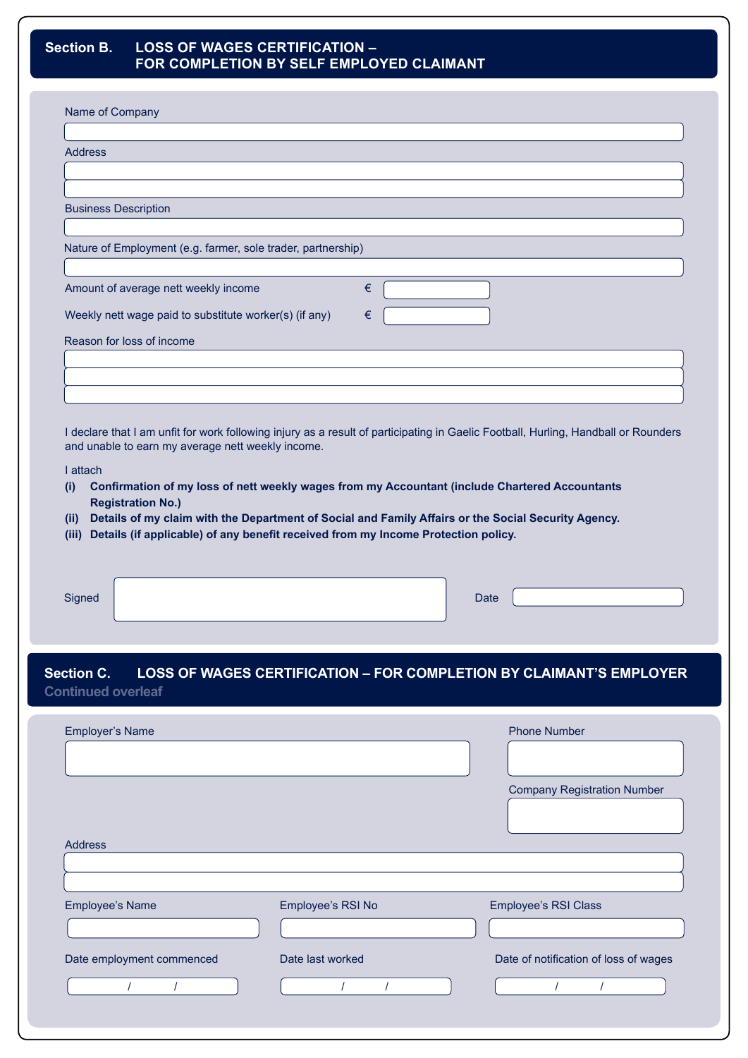### **Section B. LOSS OF WAGES CERTIFICATION – FOR COMPLETION BY SELF EMPLOYED CLAIMANT**

| Name of Company                                                                                                                                                                                                                                                                                                        |                                                                     |
|------------------------------------------------------------------------------------------------------------------------------------------------------------------------------------------------------------------------------------------------------------------------------------------------------------------------|---------------------------------------------------------------------|
| <b>Address</b>                                                                                                                                                                                                                                                                                                         |                                                                     |
|                                                                                                                                                                                                                                                                                                                        |                                                                     |
| <b>Business Description</b>                                                                                                                                                                                                                                                                                            |                                                                     |
| Nature of Employment (e.g. farmer, sole trader, partnership)                                                                                                                                                                                                                                                           |                                                                     |
| Amount of average nett weekly income<br>€                                                                                                                                                                                                                                                                              |                                                                     |
| Weekly nett wage paid to substitute worker(s) (if any)<br>€                                                                                                                                                                                                                                                            |                                                                     |
| Reason for loss of income                                                                                                                                                                                                                                                                                              |                                                                     |
|                                                                                                                                                                                                                                                                                                                        |                                                                     |
|                                                                                                                                                                                                                                                                                                                        |                                                                     |
| Confirmation of my loss of nett weekly wages from my Accountant (include Chartered Accountants<br><b>Registration No.)</b><br>Details of my claim with the Department of Social and Family Affairs or the Social Security Agency.<br>Details (if applicable) of any benefit received from my Income Protection policy. |                                                                     |
|                                                                                                                                                                                                                                                                                                                        | Date                                                                |
| I declare that I am unfit for work following injury as a result of participating in Gaelic Football, Hurling, Handball or Rounders<br>and unable to earn my average nett weekly income.<br>I attach<br>(i)<br>(ii)<br>(iii)<br>Signed<br><b>Section C.</b><br><b>Continued overleaf</b>                                | LOSS OF WAGES CERTIFICATION - FOR COMPLETION BY CLAIMANT'S EMPLOYER |

Address Address Employee's Name Employee's RSI No Employee's RSI Class Company Registration Number Date employment commenced / / Date last worked / / Date of notification of loss of wages / /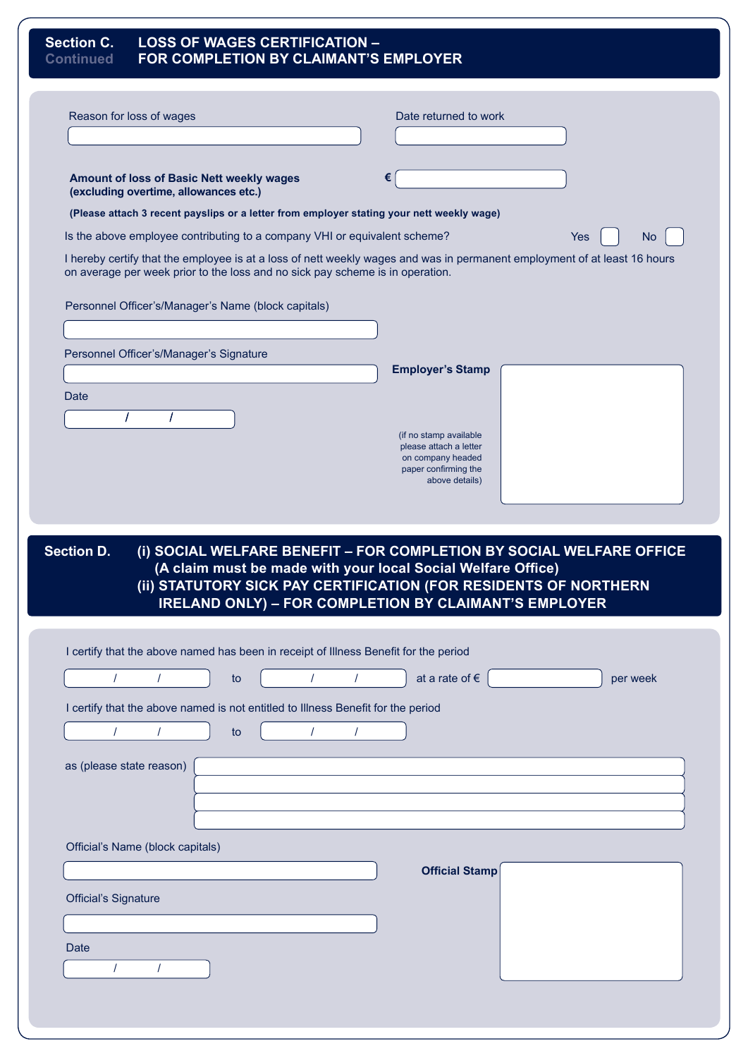| <b>Section C.</b><br><b>Continued</b> | <b>LOSS OF WAGES CERTIFICATION -</b><br>FOR COMPLETION BY CLAIMANT'S EMPLOYER             |                                                                                                                                                                                                          |           |
|---------------------------------------|-------------------------------------------------------------------------------------------|----------------------------------------------------------------------------------------------------------------------------------------------------------------------------------------------------------|-----------|
| Reason for loss of wages              |                                                                                           | Date returned to work                                                                                                                                                                                    |           |
|                                       | Amount of loss of Basic Nett weekly wages<br>(excluding overtime, allowances etc.)        | €                                                                                                                                                                                                        |           |
|                                       | (Please attach 3 recent payslips or a letter from employer stating your nett weekly wage) |                                                                                                                                                                                                          |           |
|                                       | Is the above employee contributing to a company VHI or equivalent scheme?                 | <b>Yes</b>                                                                                                                                                                                               | <b>No</b> |
|                                       | on average per week prior to the loss and no sick pay scheme is in operation.             | I hereby certify that the employee is at a loss of nett weekly wages and was in permanent employment of at least 16 hours                                                                                |           |
|                                       | Personnel Officer's/Manager's Name (block capitals)                                       |                                                                                                                                                                                                          |           |
|                                       | Personnel Officer's/Manager's Signature                                                   | <b>Employer's Stamp</b>                                                                                                                                                                                  |           |
| Date                                  |                                                                                           |                                                                                                                                                                                                          |           |
|                                       |                                                                                           | (if no stamp available<br>please attach a letter<br>on company headed                                                                                                                                    |           |
|                                       |                                                                                           | paper confirming the<br>above details)                                                                                                                                                                   |           |
| <b>Section D.</b>                     |                                                                                           | (i) SOCIAL WELFARE BENEFIT - FOR COMPLETION BY SOCIAL WELFARE OFFICE<br>(A claim must be made with your local Social Welfare Office)<br>(ii) STATUTORY SICK PAY CERTIFICATION (FOR RESIDENTS OF NORTHERN |           |
|                                       |                                                                                           | <b>IRELAND ONLY) - FOR COMPLETION BY CLAIMANT'S EMPLOYER</b>                                                                                                                                             |           |
|                                       | I certify that the above named has been in receipt of Illness Benefit for the period      |                                                                                                                                                                                                          |           |
| $\prime$<br>$\prime$                  | to                                                                                        | at a rate of $\epsilon$                                                                                                                                                                                  | per week  |
|                                       | I certify that the above named is not entitled to Illness Benefit for the period          |                                                                                                                                                                                                          |           |
| $\prime$                              | to                                                                                        |                                                                                                                                                                                                          |           |
| as (please state reason)              |                                                                                           |                                                                                                                                                                                                          |           |
|                                       |                                                                                           |                                                                                                                                                                                                          |           |
|                                       |                                                                                           |                                                                                                                                                                                                          |           |
|                                       |                                                                                           |                                                                                                                                                                                                          |           |
| Official's Name (block capitals)      |                                                                                           |                                                                                                                                                                                                          |           |
|                                       |                                                                                           | <b>Official Stamp</b>                                                                                                                                                                                    |           |
| <b>Official's Signature</b>           |                                                                                           |                                                                                                                                                                                                          |           |
|                                       |                                                                                           |                                                                                                                                                                                                          |           |
| Date                                  |                                                                                           |                                                                                                                                                                                                          |           |
| $\prime$                              |                                                                                           |                                                                                                                                                                                                          |           |